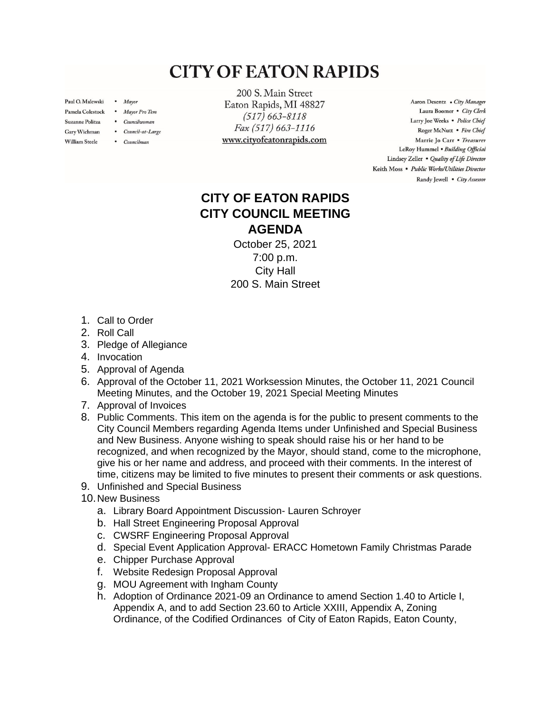## **CITY OF EATON RAPIDS**

Paul O. Malewski . Mayor

Gary Wichman

**William Steele** 

- Pamela Colestock . Mayor Pro Tem
- Suzanne Politza . Councilwoman
	- Council-at-Large
	- Councilman

200 S. Main Street Eaton Rapids, MI 48827  $(517) 663 - 8118$ Fax (517) 663-1116 www.cityofeatonrapids.com

Aaron Desentz . City Manager Laura Boomer . City Clerk Larry Joe Weeks . Police Chief Roger McNutt · Fire Chief Marrie Jo Carr . Treasurer LeRoy Hummel . Building Official Lindsey Zeller . Quality of Life Director Keith Moss · Public Works/Utilities Director Randy Jewell • City Assessor

## **CITY OF EATON RAPIDS CITY COUNCIL MEETING AGENDA**

October 25, 2021 7:00 p.m. City Hall 200 S. Main Street

- 1. Call to Order
- 2. Roll Call
- 3. Pledge of Allegiance
- 4. Invocation
- 5. Approval of Agenda
- 6. Approval of the October 11, 2021 Worksession Minutes, the October 11, 2021 Council Meeting Minutes, and the October 19, 2021 Special Meeting Minutes
- 7. Approval of Invoices
- 8. Public Comments. This item on the agenda is for the public to present comments to the City Council Members regarding Agenda Items under Unfinished and Special Business and New Business. Anyone wishing to speak should raise his or her hand to be recognized, and when recognized by the Mayor, should stand, come to the microphone, give his or her name and address, and proceed with their comments. In the interest of time, citizens may be limited to five minutes to present their comments or ask questions.
- 9. Unfinished and Special Business
- 10.New Business
	- a. Library Board Appointment Discussion- Lauren Schroyer
	- b. Hall Street Engineering Proposal Approval
	- c. CWSRF Engineering Proposal Approval
	- d. Special Event Application Approval- ERACC Hometown Family Christmas Parade
	- e. Chipper Purchase Approval
	- f. Website Redesign Proposal Approval
	- g. MOU Agreement with Ingham County
	- h. Adoption of Ordinance 2021-09 an Ordinance to amend Section 1.40 to Article I, Appendix A, and to add Section 23.60 to Article XXIII, Appendix A, Zoning Ordinance, of the Codified Ordinances of City of Eaton Rapids, Eaton County,